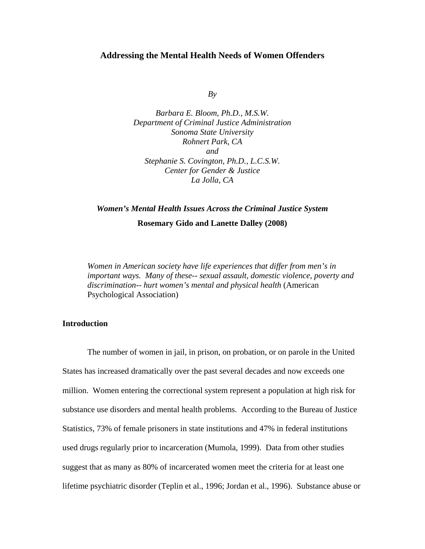### **Addressing the Mental Health Needs of Women Offenders**

 $Bv$ 

*Barbara E. Bloom, Ph.D., M.S.W. Department of Criminal Justice Administration Sonoma State University Rohnert Park, CA and Stephanie S. Covington, Ph.D., L.C.S.W. Center for Gender & Justice La Jolla, CA* 

# *Women's Mental Health Issues Across the Criminal Justice System*  **Rosemary Gido and Lanette Dalley (2008)**

*Women in American society have life experiences that differ from men's in important ways. Many of these-- sexual assault, domestic violence, poverty and discrimination-- hurt women's mental and physical health* (American Psychological Association)

## **Introduction**

The number of women in jail, in prison, on probation, or on parole in the United States has increased dramatically over the past several decades and now exceeds one million. Women entering the correctional system represent a population at high risk for substance use disorders and mental health problems. According to the Bureau of Justice Statistics, 73% of female prisoners in state institutions and 47% in federal institutions used drugs regularly prior to incarceration (Mumola, 1999). Data from other studies suggest that as many as 80% of incarcerated women meet the criteria for at least one lifetime psychiatric disorder (Teplin et al., 1996; Jordan et al., 1996). Substance abuse or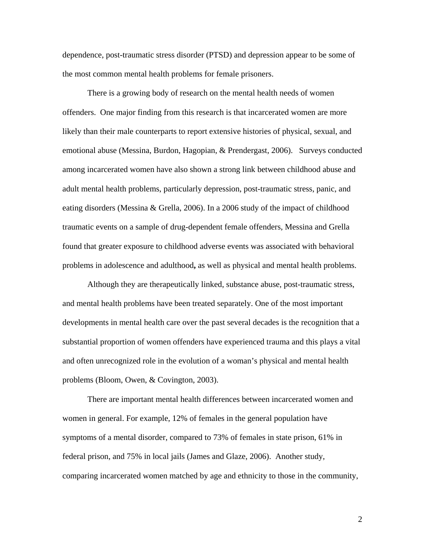dependence, post-traumatic stress disorder (PTSD) and depression appear to be some of the most common mental health problems for female prisoners.

There is a growing body of research on the mental health needs of women offenders. One major finding from this research is that incarcerated women are more likely than their male counterparts to report extensive histories of physical, sexual, and emotional abuse (Messina, Burdon, Hagopian, & Prendergast, 2006). Surveys conducted among incarcerated women have also shown a strong link between childhood abuse and adult mental health problems, particularly depression, post-traumatic stress, panic, and eating disorders (Messina & Grella, 2006). In a 2006 study of the impact of childhood traumatic events on a sample of drug-dependent female offenders, Messina and Grella found that greater exposure to childhood adverse events was associated with behavioral problems in adolescence and adulthood**,** as well as physical and mental health problems.

Although they are therapeutically linked, substance abuse, post-traumatic stress, and mental health problems have been treated separately. One of the most important developments in mental health care over the past several decades is the recognition that a substantial proportion of women offenders have experienced trauma and this plays a vital and often unrecognized role in the evolution of a woman's physical and mental health problems (Bloom, Owen, & Covington, 2003).

There are important mental health differences between incarcerated women and women in general. For example, 12% of females in the general population have symptoms of a mental disorder, compared to 73% of females in state prison, 61% in federal prison, and 75% in local jails (James and Glaze, 2006). Another study, comparing incarcerated women matched by age and ethnicity to those in the community,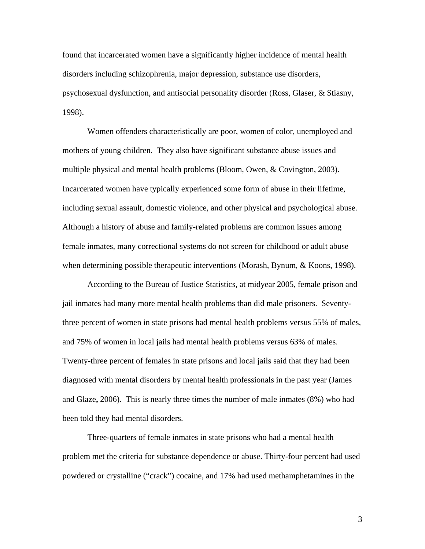found that incarcerated women have a significantly higher incidence of mental health disorders including schizophrenia, major depression, substance use disorders, psychosexual dysfunction, and antisocial personality disorder (Ross, Glaser, & Stiasny, 1998).

Women offenders characteristically are poor, women of color, unemployed and mothers of young children. They also have significant substance abuse issues and multiple physical and mental health problems (Bloom, Owen, & Covington, 2003). Incarcerated women have typically experienced some form of abuse in their lifetime, including sexual assault, domestic violence, and other physical and psychological abuse. Although a history of abuse and family-related problems are common issues among female inmates, many correctional systems do not screen for childhood or adult abuse when determining possible therapeutic interventions (Morash, Bynum, & Koons, 1998).

According to the Bureau of Justice Statistics, at midyear 2005, female prison and jail inmates had many more mental health problems than did male prisoners. Seventythree percent of women in state prisons had mental health problems versus 55% of males, and 75% of women in local jails had mental health problems versus 63% of males. Twenty-three percent of females in state prisons and local jails said that they had been diagnosed with mental disorders by mental health professionals in the past year (James and Glaze**,** 2006). This is nearly three times the number of male inmates (8%) who had been told they had mental disorders.

Three-quarters of female inmates in state prisons who had a mental health problem met the criteria for substance dependence or abuse. Thirty-four percent had used powdered or crystalline ("crack") cocaine, and 17% had used methamphetamines in the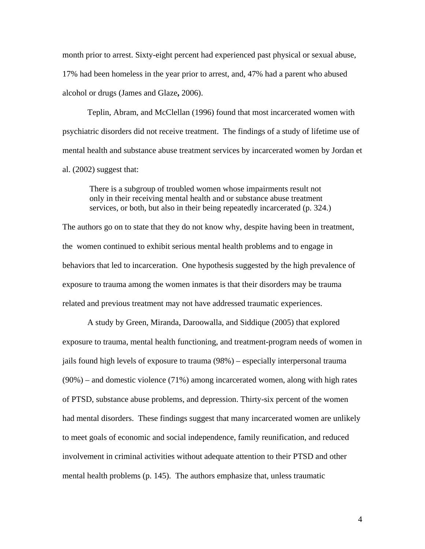month prior to arrest. Sixty-eight percent had experienced past physical or sexual abuse, 17% had been homeless in the year prior to arrest, and, 47% had a parent who abused alcohol or drugs (James and Glaze**,** 2006).

Teplin, Abram, and McClellan (1996) found that most incarcerated women with psychiatric disorders did not receive treatment. The findings of a study of lifetime use of mental health and substance abuse treatment services by incarcerated women by Jordan et al. (2002) suggest that:

There is a subgroup of troubled women whose impairments result not only in their receiving mental health and or substance abuse treatment services, or both, but also in their being repeatedly incarcerated (p. 324.)

The authors go on to state that they do not know why, despite having been in treatment, the women continued to exhibit serious mental health problems and to engage in behaviors that led to incarceration. One hypothesis suggested by the high prevalence of exposure to trauma among the women inmates is that their disorders may be trauma related and previous treatment may not have addressed traumatic experiences.

A study by Green, Miranda, Daroowalla, and Siddique (2005) that explored exposure to trauma, mental health functioning, and treatment-program needs of women in jails found high levels of exposure to trauma (98%) – especially interpersonal trauma (90%) – and domestic violence (71%) among incarcerated women, along with high rates of PTSD, substance abuse problems, and depression. Thirty-six percent of the women had mental disorders. These findings suggest that many incarcerated women are unlikely to meet goals of economic and social independence, family reunification, and reduced involvement in criminal activities without adequate attention to their PTSD and other mental health problems (p. 145). The authors emphasize that, unless traumatic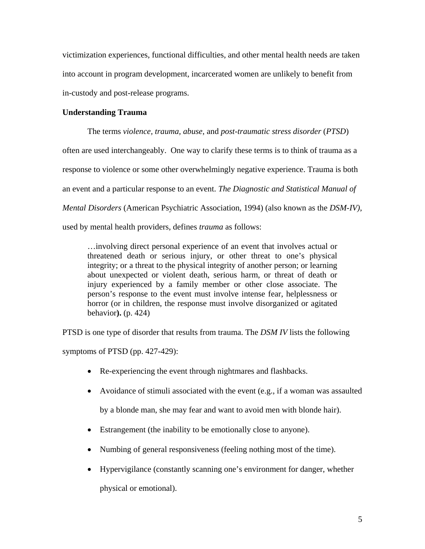victimization experiences, functional difficulties, and other mental health needs are taken into account in program development, incarcerated women are unlikely to benefit from in-custody and post-release programs.

# **Understanding Trauma**

The terms *violence, trauma, abuse*, and *post-traumatic stress disorder* (*PTSD*) often are used interchangeably. One way to clarify these terms is to think of trauma as a response to violence or some other overwhelmingly negative experience. Trauma is both an event and a particular response to an event. *The Diagnostic and Statistical Manual of Mental Disorders* (American Psychiatric Association, 1994) (also known as the *DSM-IV)*, used by mental health providers, defines *trauma* as follows:

…involving direct personal experience of an event that involves actual or threatened death or serious injury, or other threat to one's physical integrity; or a threat to the physical integrity of another person; or learning about unexpected or violent death, serious harm, or threat of death or injury experienced by a family member or other close associate. The person's response to the event must involve intense fear, helplessness or horror (or in children, the response must involve disorganized or agitated behavior**).** (p. 424)

PTSD is one type of disorder that results from trauma. The *DSM IV* lists the following

symptoms of PTSD (pp. 427-429):

- Re-experiencing the event through nightmares and flashbacks.
- Avoidance of stimuli associated with the event (e.g., if a woman was assaulted by a blonde man, she may fear and want to avoid men with blonde hair).
- Estrangement (the inability to be emotionally close to anyone).
- Numbing of general responsiveness (feeling nothing most of the time).
- Hypervigilance (constantly scanning one's environment for danger, whether physical or emotional).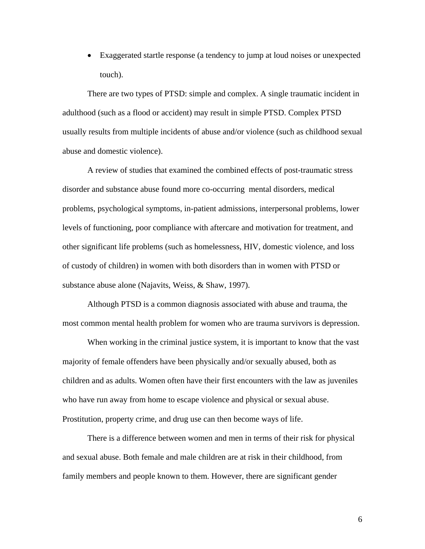• Exaggerated startle response (a tendency to jump at loud noises or unexpected touch).

There are two types of PTSD: simple and complex. A single traumatic incident in adulthood (such as a flood or accident) may result in simple PTSD. Complex PTSD usually results from multiple incidents of abuse and/or violence (such as childhood sexual abuse and domestic violence).

 A review of studies that examined the combined effects of post-traumatic stress disorder and substance abuse found more co-occurring mental disorders, medical problems, psychological symptoms, in-patient admissions, interpersonal problems, lower levels of functioning, poor compliance with aftercare and motivation for treatment, and other significant life problems (such as homelessness, HIV, domestic violence, and loss of custody of children) in women with both disorders than in women with PTSD or substance abuse alone (Najavits, Weiss, & Shaw, 1997).

Although PTSD is a common diagnosis associated with abuse and trauma, the most common mental health problem for women who are trauma survivors is depression.

When working in the criminal justice system, it is important to know that the vast majority of female offenders have been physically and/or sexually abused, both as children and as adults. Women often have their first encounters with the law as juveniles who have run away from home to escape violence and physical or sexual abuse. Prostitution, property crime, and drug use can then become ways of life.

There is a difference between women and men in terms of their risk for physical and sexual abuse. Both female and male children are at risk in their childhood, from family members and people known to them. However, there are significant gender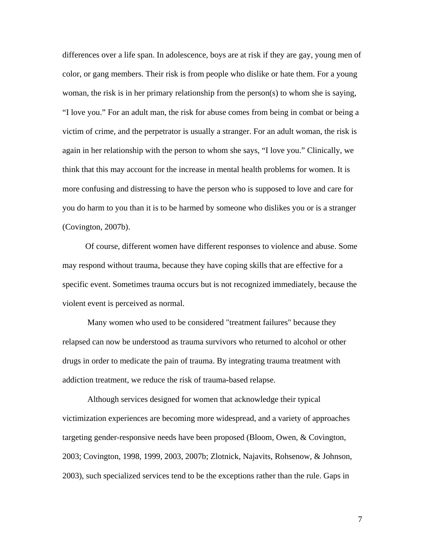differences over a life span. In adolescence, boys are at risk if they are gay, young men of color, or gang members. Their risk is from people who dislike or hate them. For a young woman, the risk is in her primary relationship from the person(s) to whom she is saying, "I love you." For an adult man, the risk for abuse comes from being in combat or being a victim of crime, and the perpetrator is usually a stranger. For an adult woman, the risk is again in her relationship with the person to whom she says, "I love you." Clinically, we think that this may account for the increase in mental health problems for women. It is more confusing and distressing to have the person who is supposed to love and care for you do harm to you than it is to be harmed by someone who dislikes you or is a stranger (Covington, 2007b).

 Of course, different women have different responses to violence and abuse. Some may respond without trauma, because they have coping skills that are effective for a specific event. Sometimes trauma occurs but is not recognized immediately, because the violent event is perceived as normal.

 Many women who used to be considered "treatment failures" because they relapsed can now be understood as trauma survivors who returned to alcohol or other drugs in order to medicate the pain of trauma. By integrating trauma treatment with addiction treatment, we reduce the risk of trauma**-**based relapse.

Although services designed for women that acknowledge their typical victimization experiences are becoming more widespread, and a variety of approaches targeting gender-responsive needs have been proposed (Bloom, Owen, & Covington, 2003; Covington, 1998, 1999, 2003, 2007b; Zlotnick, Najavits, Rohsenow, & Johnson, 2003), such specialized services tend to be the exceptions rather than the rule. Gaps in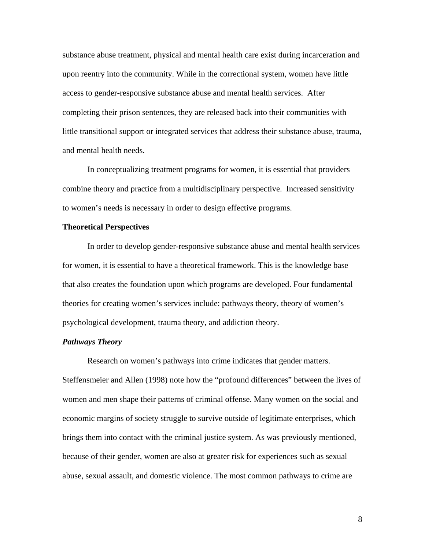substance abuse treatment, physical and mental health care exist during incarceration and upon reentry into the community. While in the correctional system, women have little access to gender-responsive substance abuse and mental health services. After completing their prison sentences, they are released back into their communities with little transitional support or integrated services that address their substance abuse, trauma, and mental health needs.

In conceptualizing treatment programs for women, it is essential that providers combine theory and practice from a multidisciplinary perspective. Increased sensitivity to women's needs is necessary in order to design effective programs.

## **Theoretical Perspectives**

In order to develop gender-responsive substance abuse and mental health services for women, it is essential to have a theoretical framework. This is the knowledge base that also creates the foundation upon which programs are developed. Four fundamental theories for creating women's services include: pathways theory, theory of women's psychological development, trauma theory, and addiction theory.

## *Pathways Theory*

Research on women's pathways into crime indicates that gender matters. Steffensmeier and Allen (1998) note how the "profound differences" between the lives of women and men shape their patterns of criminal offense. Many women on the social and economic margins of society struggle to survive outside of legitimate enterprises, which brings them into contact with the criminal justice system. As was previously mentioned, because of their gender, women are also at greater risk for experiences such as sexual abuse, sexual assault, and domestic violence. The most common pathways to crime are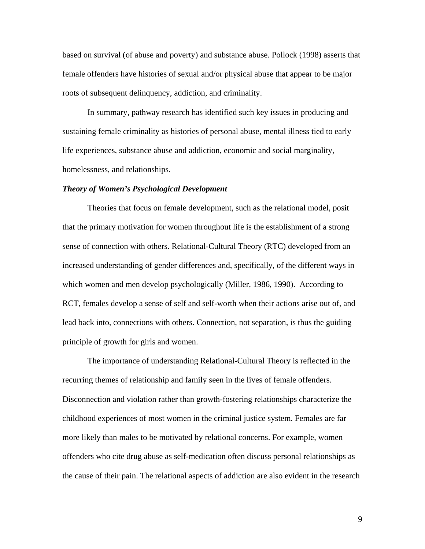based on survival (of abuse and poverty) and substance abuse. Pollock (1998) asserts that female offenders have histories of sexual and/or physical abuse that appear to be major roots of subsequent delinquency, addiction, and criminality.

In summary, pathway research has identified such key issues in producing and sustaining female criminality as histories of personal abuse, mental illness tied to early life experiences, substance abuse and addiction, economic and social marginality, homelessness, and relationships.

#### *Theory of Women's Psychological Development*

Theories that focus on female development, such as the relational model, posit that the primary motivation for women throughout life is the establishment of a strong sense of connection with others. Relational-Cultural Theory (RTC) developed from an increased understanding of gender differences and, specifically, of the different ways in which women and men develop psychologically (Miller, 1986, 1990). According to RCT, females develop a sense of self and self-worth when their actions arise out of, and lead back into, connections with others. Connection, not separation, is thus the guiding principle of growth for girls and women.

The importance of understanding Relational-Cultural Theory is reflected in the recurring themes of relationship and family seen in the lives of female offenders. Disconnection and violation rather than growth-fostering relationships characterize the childhood experiences of most women in the criminal justice system. Females are far more likely than males to be motivated by relational concerns. For example, women offenders who cite drug abuse as self-medication often discuss personal relationships as the cause of their pain. The relational aspects of addiction are also evident in the research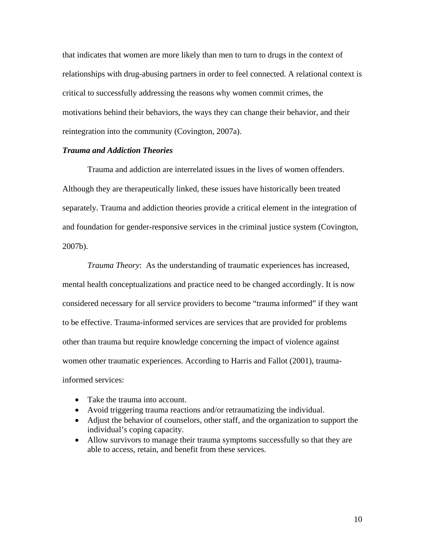that indicates that women are more likely than men to turn to drugs in the context of relationships with drug-abusing partners in order to feel connected. A relational context is critical to successfully addressing the reasons why women commit crimes, the motivations behind their behaviors, the ways they can change their behavior, and their reintegration into the community (Covington, 2007a).

### *Trauma and Addiction Theories*

Trauma and addiction are interrelated issues in the lives of women offenders. Although they are therapeutically linked, these issues have historically been treated separately. Trauma and addiction theories provide a critical element in the integration of and foundation for gender-responsive services in the criminal justice system (Covington, 2007b).

*Trauma Theory*: As the understanding of traumatic experiences has increased, mental health conceptualizations and practice need to be changed accordingly. It is now considered necessary for all service providers to become "trauma informed" if they want to be effective. Trauma-informed services are services that are provided for problems other than trauma but require knowledge concerning the impact of violence against women other traumatic experiences. According to Harris and Fallot (2001), traumainformed services:

- Take the trauma into account.
- Avoid triggering trauma reactions and/or retraumatizing the individual.
- Adjust the behavior of counselors, other staff, and the organization to support the individual's coping capacity.
- Allow survivors to manage their trauma symptoms successfully so that they are able to access, retain, and benefit from these services.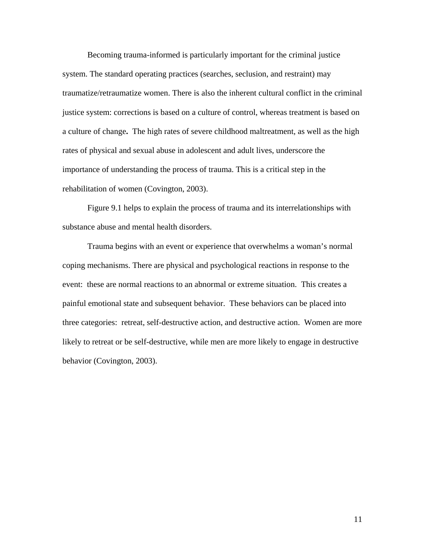Becoming trauma-informed is particularly important for the criminal justice system. The standard operating practices (searches, seclusion, and restraint) may traumatize/retraumatize women. There is also the inherent cultural conflict in the criminal justice system: corrections is based on a culture of control, whereas treatment is based on a culture of change**.** The high rates of severe childhood maltreatment, as well as the high rates of physical and sexual abuse in adolescent and adult lives, underscore the importance of understanding the process of trauma. This is a critical step in the rehabilitation of women (Covington, 2003).

Figure 9.1 helps to explain the process of trauma and its interrelationships with substance abuse and mental health disorders.

Trauma begins with an event or experience that overwhelms a woman's normal coping mechanisms. There are physical and psychological reactions in response to the event: these are normal reactions to an abnormal or extreme situation. This creates a painful emotional state and subsequent behavior. These behaviors can be placed into three categories: retreat, self-destructive action, and destructive action. Women are more likely to retreat or be self-destructive, while men are more likely to engage in destructive behavior (Covington, 2003).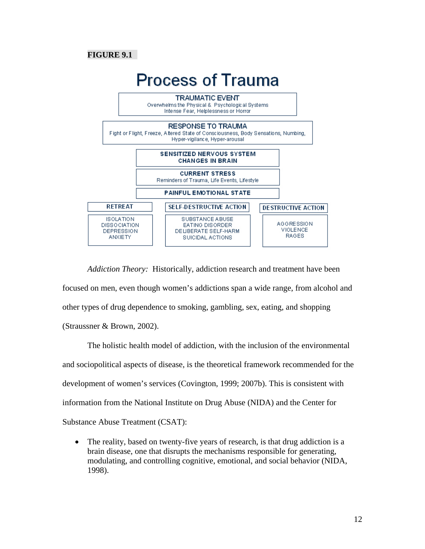# **FIGURE 9.1**



*Addiction Theory:* Historically, addiction research and treatment have been focused on men, even though women's addictions span a wide range, from alcohol and other types of drug dependence to smoking, gambling, sex, eating, and shopping (Straussner & Brown, 2002).

The holistic health model of addiction, with the inclusion of the environmental and sociopolitical aspects of disease, is the theoretical framework recommended for the development of women's services (Covington, 1999; 2007b). This is consistent with information from the National Institute on Drug Abuse (NIDA) and the Center for Substance Abuse Treatment (CSAT):

• The reality, based on twenty-five years of research, is that drug addiction is a brain disease, one that disrupts the mechanisms responsible for generating, modulating, and controlling cognitive, emotional, and social behavior (NIDA, 1998).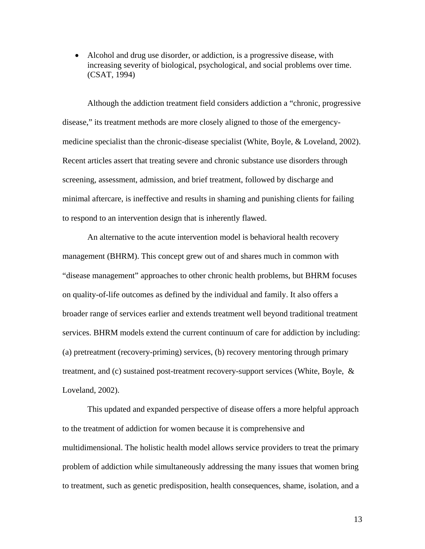• Alcohol and drug use disorder, or addiction, is a progressive disease, with increasing severity of biological, psychological, and social problems over time. (CSAT, 1994)

Although the addiction treatment field considers addiction a "chronic, progressive disease," its treatment methods are more closely aligned to those of the emergencymedicine specialist than the chronic-disease specialist (White, Boyle, & Loveland, 2002). Recent articles assert that treating severe and chronic substance use disorders through screening, assessment, admission, and brief treatment, followed by discharge and minimal aftercare, is ineffective and results in shaming and punishing clients for failing to respond to an intervention design that is inherently flawed.

An alternative to the acute intervention model is behavioral health recovery management (BHRM). This concept grew out of and shares much in common with "disease management" approaches to other chronic health problems, but BHRM focuses on quality-of-life outcomes as defined by the individual and family. It also offers a broader range of services earlier and extends treatment well beyond traditional treatment services. BHRM models extend the current continuum of care for addiction by including: (a) pretreatment (recovery-priming) services, (b) recovery mentoring through primary treatment, and (c) sustained post-treatment recovery-support services (White, Boyle, & Loveland, 2002).

This updated and expanded perspective of disease offers a more helpful approach to the treatment of addiction for women because it is comprehensive and multidimensional. The holistic health model allows service providers to treat the primary problem of addiction while simultaneously addressing the many issues that women bring to treatment, such as genetic predisposition, health consequences, shame, isolation, and a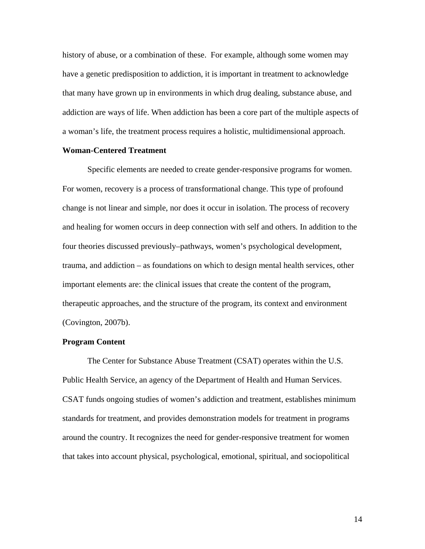history of abuse, or a combination of these. For example, although some women may have a genetic predisposition to addiction, it is important in treatment to acknowledge that many have grown up in environments in which drug dealing, substance abuse, and addiction are ways of life. When addiction has been a core part of the multiple aspects of a woman's life, the treatment process requires a holistic, multidimensional approach.

## **Woman-Centered Treatment**

Specific elements are needed to create gender-responsive programs for women. For women, recovery is a process of transformational change. This type of profound change is not linear and simple, nor does it occur in isolation. The process of recovery and healing for women occurs in deep connection with self and others. In addition to the four theories discussed previously–pathways, women's psychological development, trauma, and addiction – as foundations on which to design mental health services, other important elements are: the clinical issues that create the content of the program, therapeutic approaches, and the structure of the program, its context and environment (Covington, 2007b).

# **Program Content**

 The Center for Substance Abuse Treatment (CSAT) operates within the U.S. Public Health Service, an agency of the Department of Health and Human Services. CSAT funds ongoing studies of women's addiction and treatment, establishes minimum standards for treatment, and provides demonstration models for treatment in programs around the country. It recognizes the need for gender-responsive treatment for women that takes into account physical, psychological, emotional, spiritual, and sociopolitical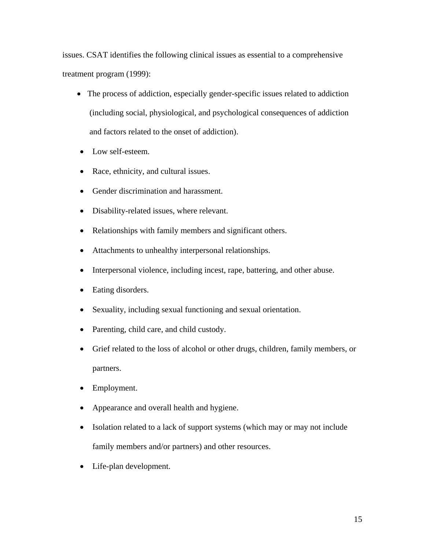issues. CSAT identifies the following clinical issues as essential to a comprehensive treatment program (1999):

- The process of addiction, especially gender-specific issues related to addiction (including social, physiological, and psychological consequences of addiction and factors related to the onset of addiction).
- Low self-esteem.
- Race, ethnicity, and cultural issues.
- Gender discrimination and harassment.
- Disability-related issues, where relevant.
- Relationships with family members and significant others.
- Attachments to unhealthy interpersonal relationships.
- Interpersonal violence, including incest, rape, battering, and other abuse.
- Eating disorders.
- Sexuality, including sexual functioning and sexual orientation.
- Parenting, child care, and child custody.
- Grief related to the loss of alcohol or other drugs, children, family members, or partners.
- Employment.
- Appearance and overall health and hygiene.
- Isolation related to a lack of support systems (which may or may not include family members and/or partners) and other resources.
- Life-plan development.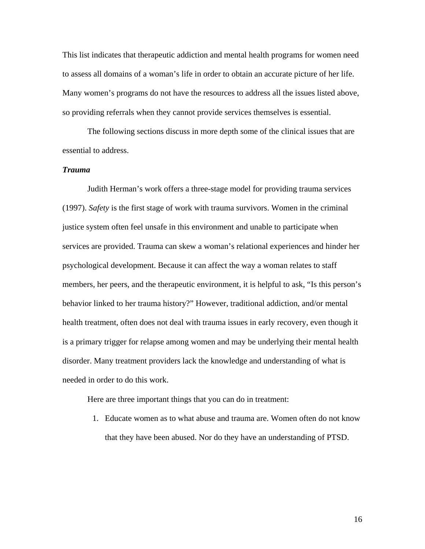This list indicates that therapeutic addiction and mental health programs for women need to assess all domains of a woman's life in order to obtain an accurate picture of her life. Many women's programs do not have the resources to address all the issues listed above, so providing referrals when they cannot provide services themselves is essential.

The following sections discuss in more depth some of the clinical issues that are essential to address.

# *Trauma*

Judith Herman's work offers a three-stage model for providing trauma services (1997). *Safety* is the first stage of work with trauma survivors. Women in the criminal justice system often feel unsafe in this environment and unable to participate when services are provided. Trauma can skew a woman's relational experiences and hinder her psychological development. Because it can affect the way a woman relates to staff members, her peers, and the therapeutic environment, it is helpful to ask, "Is this person's behavior linked to her trauma history?" However, traditional addiction, and/or mental health treatment, often does not deal with trauma issues in early recovery, even though it is a primary trigger for relapse among women and may be underlying their mental health disorder. Many treatment providers lack the knowledge and understanding of what is needed in order to do this work.

Here are three important things that you can do in treatment:

1. Educate women as to what abuse and trauma are. Women often do not know that they have been abused. Nor do they have an understanding of PTSD.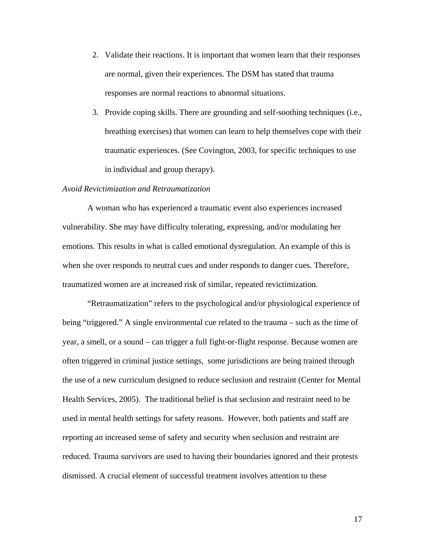- 2. Validate their reactions. It is important that women learn that their responses are normal, given their experiences. The DSM has stated that trauma responses are normal reactions to abnormal situations.
- 3. Provide coping skills. There are grounding and self-soothing techniques (i.e., breathing exercises) that women can learn to help themselves cope with their traumatic experiences. (See Covington, 2003, for specific techniques to use in individual and group therapy).

## *Avoid Revictimization and Retraumatization*

A woman who has experienced a traumatic event also experiences increased vulnerability. She may have difficulty tolerating, expressing, and/or modulating her emotions. This results in what is called emotional dysregulation. An example of this is when she over responds to neutral cues and under responds to danger cues. Therefore, traumatized women are at increased risk of similar, repeated revictimization.

"Retraumatization" refers to the psychological and/or physiological experience of being "triggered." A single environmental cue related to the trauma – such as the time of year, a smell, or a sound – can trigger a full fight-or-flight response. Because women are often triggered in criminal justice settings, some jurisdictions are being trained through the use of a new curriculum designed to reduce seclusion and restraint (Center for Mental Health Services, 2005). The traditional belief is that seclusion and restraint need to be used in mental health settings for safety reasons. However, both patients and staff are reporting an increased sense of safety and security when seclusion and restraint are reduced. Trauma survivors are used to having their boundaries ignored and their protests dismissed. A crucial element of successful treatment involves attention to these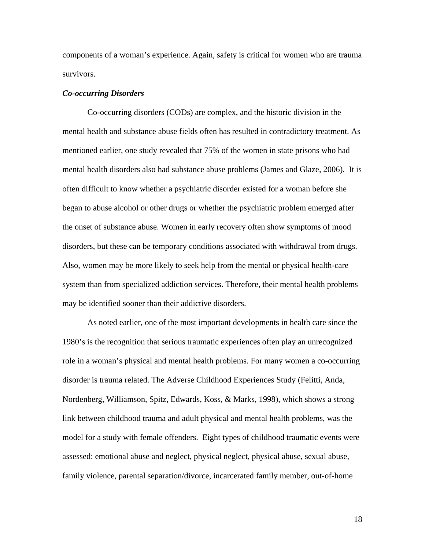components of a woman's experience. Again, safety is critical for women who are trauma survivors.

### *Co-occurring Disorders*

Co-occurring disorders (CODs) are complex, and the historic division in the mental health and substance abuse fields often has resulted in contradictory treatment. As mentioned earlier, one study revealed that 75% of the women in state prisons who had mental health disorders also had substance abuse problems (James and Glaze, 2006). It is often difficult to know whether a psychiatric disorder existed for a woman before she began to abuse alcohol or other drugs or whether the psychiatric problem emerged after the onset of substance abuse. Women in early recovery often show symptoms of mood disorders, but these can be temporary conditions associated with withdrawal from drugs. Also, women may be more likely to seek help from the mental or physical health-care system than from specialized addiction services. Therefore, their mental health problems may be identified sooner than their addictive disorders.

As noted earlier, one of the most important developments in health care since the 1980's is the recognition that serious traumatic experiences often play an unrecognized role in a woman's physical and mental health problems. For many women a co-occurring disorder is trauma related. The Adverse Childhood Experiences Study (Felitti, Anda, Nordenberg, Williamson, Spitz, Edwards, Koss, & Marks, 1998), which shows a strong link between childhood trauma and adult physical and mental health problems, was the model for a study with female offenders. Eight types of childhood traumatic events were assessed: emotional abuse and neglect, physical neglect, physical abuse, sexual abuse, family violence, parental separation/divorce, incarcerated family member, out-of-home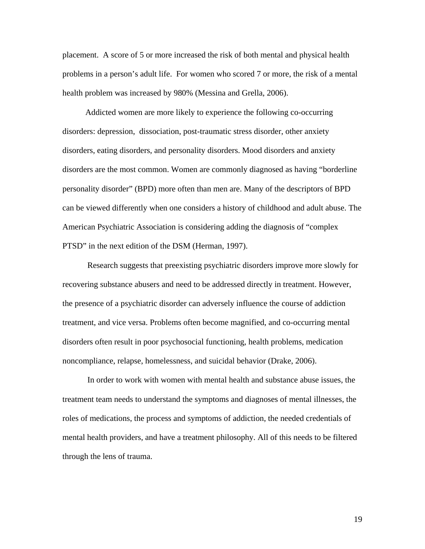placement. A score of 5 or more increased the risk of both mental and physical health problems in a person's adult life. For women who scored 7 or more, the risk of a mental health problem was increased by 980% (Messina and Grella, 2006).

 Addicted women are more likely to experience the following co-occurring disorders: depression, dissociation, post-traumatic stress disorder, other anxiety disorders, eating disorders, and personality disorders. Mood disorders and anxiety disorders are the most common. Women are commonly diagnosed as having "borderline personality disorder" (BPD) more often than men are. Many of the descriptors of BPD can be viewed differently when one considers a history of childhood and adult abuse. The American Psychiatric Association is considering adding the diagnosis of "complex PTSD" in the next edition of the DSM (Herman, 1997).

Research suggests that preexisting psychiatric disorders improve more slowly for recovering substance abusers and need to be addressed directly in treatment. However, the presence of a psychiatric disorder can adversely influence the course of addiction treatment, and vice versa. Problems often become magnified, and co-occurring mental disorders often result in poor psychosocial functioning, health problems, medication noncompliance, relapse, homelessness, and suicidal behavior (Drake, 2006).

In order to work with women with mental health and substance abuse issues, the treatment team needs to understand the symptoms and diagnoses of mental illnesses, the roles of medications, the process and symptoms of addiction, the needed credentials of mental health providers, and have a treatment philosophy. All of this needs to be filtered through the lens of trauma.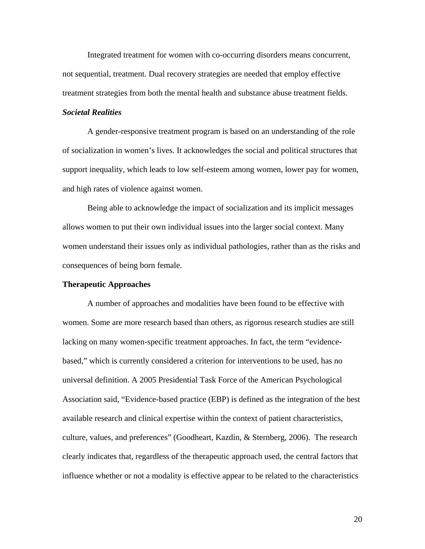Integrated treatment for women with co-occurring disorders means concurrent, not sequential, treatment. Dual recovery strategies are needed that employ effective treatment strategies from both the mental health and substance abuse treatment fields.

# *Societal Realities*

A gender-responsive treatment program is based on an understanding of the role of socialization in women's lives. It acknowledges the social and political structures that support inequality, which leads to low self-esteem among women, lower pay for women, and high rates of violence against women.

Being able to acknowledge the impact of socialization and its implicit messages allows women to put their own individual issues into the larger social context. Many women understand their issues only as individual pathologies, rather than as the risks and consequences of being born female.

#### **Therapeutic Approaches**

A number of approaches and modalities have been found to be effective with women. Some are more research based than others, as rigorous research studies are still lacking on many women-specific treatment approaches. In fact, the term "evidencebased," which is currently considered a criterion for interventions to be used, has no universal definition. A 2005 Presidential Task Force of the American Psychological Association said, "Evidence-based practice (EBP) is defined as the integration of the best available research and clinical expertise within the context of patient characteristics, culture, values, and preferences" (Goodheart, Kazdin, & Sternberg, 2006). The research clearly indicates that, regardless of the therapeutic approach used, the central factors that influence whether or not a modality is effective appear to be related to the characteristics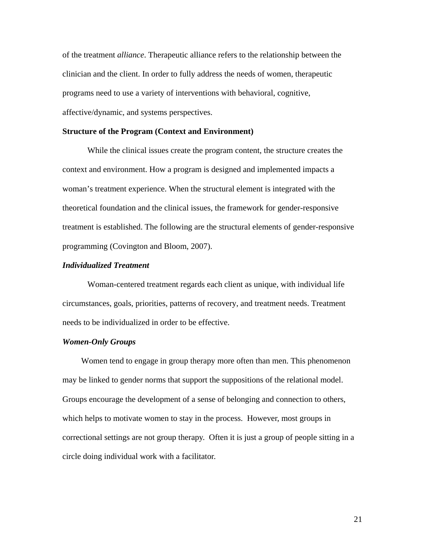of the treatment *alliance*. Therapeutic alliance refers to the relationship between the clinician and the client. In order to fully address the needs of women, therapeutic programs need to use a variety of interventions with behavioral, cognitive, affective/dynamic, and systems perspectives.

#### **Structure of the Program (Context and Environment)**

While the clinical issues create the program content, the structure creates the context and environment. How a program is designed and implemented impacts a woman's treatment experience. When the structural element is integrated with the theoretical foundation and the clinical issues, the framework for gender-responsive treatment is established. The following are the structural elements of gender-responsive programming (Covington and Bloom, 2007).

#### *Individualized Treatment*

Woman-centered treatment regards each client as unique, with individual life circumstances, goals, priorities, patterns of recovery, and treatment needs. Treatment needs to be individualized in order to be effective.

## *Women-Only Groups*

Women tend to engage in group therapy more often than men. This phenomenon may be linked to gender norms that support the suppositions of the relational model. Groups encourage the development of a sense of belonging and connection to others, which helps to motivate women to stay in the process. However, most groups in correctional settings are not group therapy. Often it is just a group of people sitting in a circle doing individual work with a facilitator.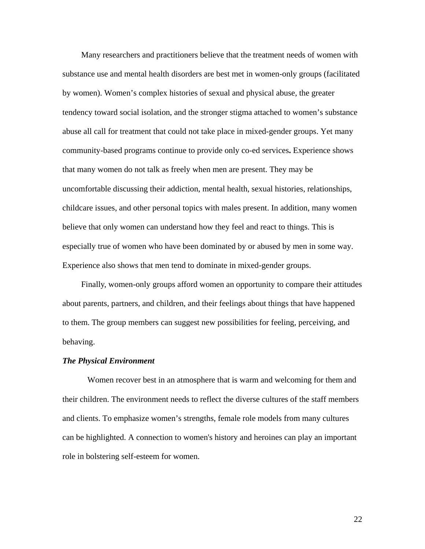Many researchers and practitioners believe that the treatment needs of women with substance use and mental health disorders are best met in women-only groups (facilitated by women). Women's complex histories of sexual and physical abuse, the greater tendency toward social isolation, and the stronger stigma attached to women's substance abuse all call for treatment that could not take place in mixed-gender groups. Yet many community-based programs continue to provide only co-ed services**.** Experience shows that many women do not talk as freely when men are present. They may be uncomfortable discussing their addiction, mental health, sexual histories, relationships, childcare issues, and other personal topics with males present. In addition, many women believe that only women can understand how they feel and react to things. This is especially true of women who have been dominated by or abused by men in some way. Experience also shows that men tend to dominate in mixed-gender groups.

Finally, women-only groups afford women an opportunity to compare their attitudes about parents, partners, and children, and their feelings about things that have happened to them. The group members can suggest new possibilities for feeling, perceiving, and behaving.

#### *The Physical Environment*

Women recover best in an atmosphere that is warm and welcoming for them and their children. The environment needs to reflect the diverse cultures of the staff members and clients. To emphasize women's strengths, female role models from many cultures can be highlighted. A connection to women's history and heroines can play an important role in bolstering self-esteem for women.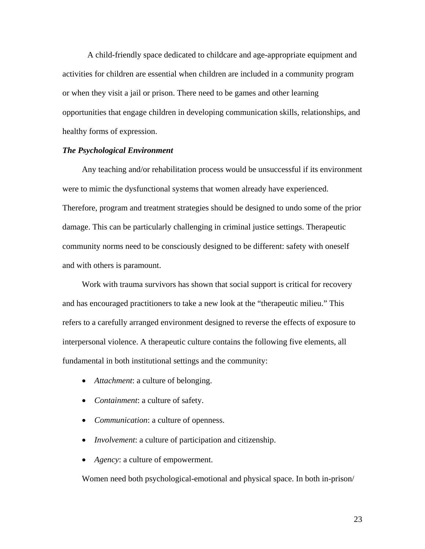A child-friendly space dedicated to childcare and age-appropriate equipment and activities for children are essential when children are included in a community program or when they visit a jail or prison. There need to be games and other learning opportunities that engage children in developing communication skills, relationships, and healthy forms of expression.

# *The Psychological Environment*

 Any teaching and/or rehabilitation process would be unsuccessful if its environment were to mimic the dysfunctional systems that women already have experienced. Therefore, program and treatment strategies should be designed to undo some of the prior damage. This can be particularly challenging in criminal justice settings. Therapeutic community norms need to be consciously designed to be different: safety with oneself and with others is paramount.

Work with trauma survivors has shown that social support is critical for recovery and has encouraged practitioners to take a new look at the "therapeutic milieu." This refers to a carefully arranged environment designed to reverse the effects of exposure to interpersonal violence. A therapeutic culture contains the following five elements, all fundamental in both institutional settings and the community:

- *Attachment*: a culture of belonging.
- *Containment*: a culture of safety.
- *Communication*: a culture of openness.
- *Involvement*: a culture of participation and citizenship.
- *Agency*: a culture of empowerment.

Women need both psychological-emotional and physical space. In both in-prison/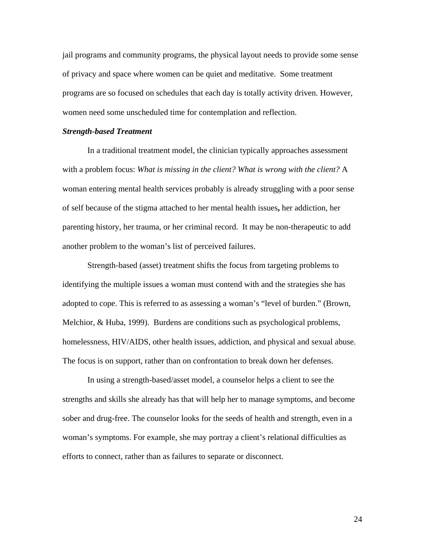jail programs and community programs, the physical layout needs to provide some sense of privacy and space where women can be quiet and meditative. Some treatment programs are so focused on schedules that each day is totally activity driven. However, women need some unscheduled time for contemplation and reflection.

#### *Strength-based Treatment*

In a traditional treatment model, the clinician typically approaches assessment with a problem focus: *What is missing in the client? What is wrong with the client?* A woman entering mental health services probably is already struggling with a poor sense of self because of the stigma attached to her mental health issues**,** her addiction, her parenting history, her trauma, or her criminal record. It may be non-therapeutic to add another problem to the woman's list of perceived failures.

Strength-based (asset) treatment shifts the focus from targeting problems to identifying the multiple issues a woman must contend with and the strategies she has adopted to cope. This is referred to as assessing a woman's "level of burden." (Brown, Melchior, & Huba, 1999). Burdens are conditions such as psychological problems, homelessness, HIV/AIDS, other health issues, addiction, and physical and sexual abuse. The focus is on support, rather than on confrontation to break down her defenses.

In using a strength-based/asset model, a counselor helps a client to see the strengths and skills she already has that will help her to manage symptoms, and become sober and drug-free. The counselor looks for the seeds of health and strength, even in a woman's symptoms. For example, she may portray a client's relational difficulties as efforts to connect, rather than as failures to separate or disconnect.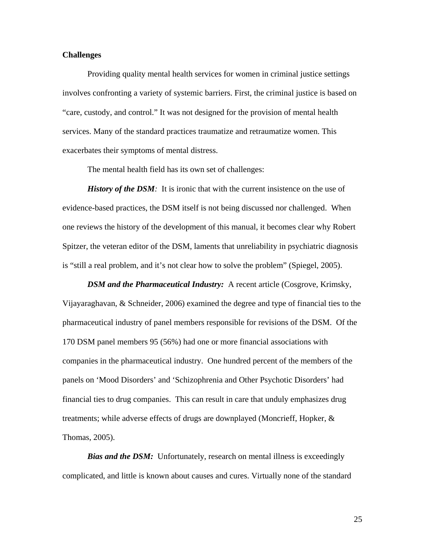# **Challenges**

Providing quality mental health services for women in criminal justice settings involves confronting a variety of systemic barriers. First, the criminal justice is based on "care, custody, and control." It was not designed for the provision of mental health services. Many of the standard practices traumatize and retraumatize women. This exacerbates their symptoms of mental distress.

The mental health field has its own set of challenges:

*History of the DSM*: It is ironic that with the current insistence on the use of evidence-based practices, the DSM itself is not being discussed nor challenged. When one reviews the history of the development of this manual, it becomes clear why Robert Spitzer, the veteran editor of the DSM, laments that unreliability in psychiatric diagnosis is "still a real problem, and it's not clear how to solve the problem" (Spiegel, 2005).

*DSM and the Pharmaceutical Industry:* A recent article (Cosgrove, Krimsky, Vijayaraghavan, & Schneider, 2006) examined the degree and type of financial ties to the pharmaceutical industry of panel members responsible for revisions of the DSM. Of the 170 DSM panel members 95 (56%) had one or more financial associations with companies in the pharmaceutical industry. One hundred percent of the members of the panels on 'Mood Disorders' and 'Schizophrenia and Other Psychotic Disorders' had financial ties to drug companies. This can result in care that unduly emphasizes drug treatments; while adverse effects of drugs are downplayed (Moncrieff, Hopker, & Thomas, 2005).

*Bias and the DSM:* Unfortunately, research on mental illness is exceedingly complicated, and little is known about causes and cures. Virtually none of the standard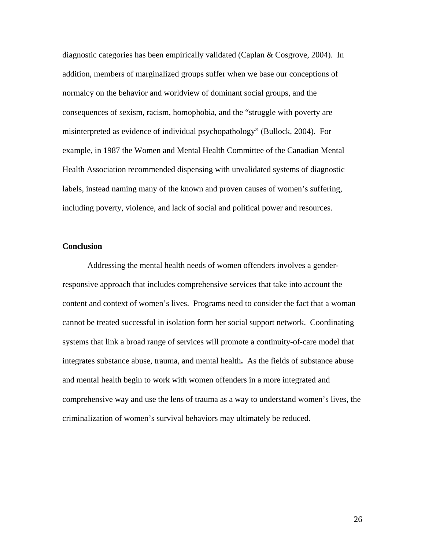diagnostic categories has been empirically validated (Caplan & Cosgrove, 2004). In addition, members of marginalized groups suffer when we base our conceptions of normalcy on the behavior and worldview of dominant social groups, and the consequences of sexism, racism, homophobia, and the "struggle with poverty are misinterpreted as evidence of individual psychopathology" (Bullock, 2004). For example, in 1987 the Women and Mental Health Committee of the Canadian Mental Health Association recommended dispensing with unvalidated systems of diagnostic labels, instead naming many of the known and proven causes of women's suffering, including poverty, violence, and lack of social and political power and resources.

## **Conclusion**

 Addressing the mental health needs of women offenders involves a genderresponsive approach that includes comprehensive services that take into account the content and context of women's lives. Programs need to consider the fact that a woman cannot be treated successful in isolation form her social support network. Coordinating systems that link a broad range of services will promote a continuity-of-care model that integrates substance abuse, trauma, and mental health**.** As the fields of substance abuse and mental health begin to work with women offenders in a more integrated and comprehensive way and use the lens of trauma as a way to understand women's lives, the criminalization of women's survival behaviors may ultimately be reduced.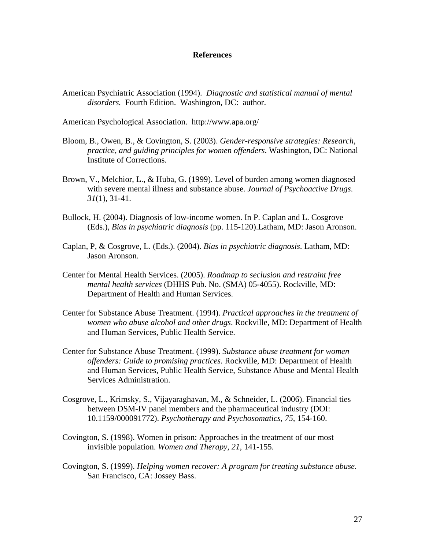## **References**

American Psychiatric Association (1994). *Diagnostic and statistical manual of mental disorders.* Fourth Edition. Washington, DC: author.

American Psychological Association. http://www.apa.org/

- Bloom, B., Owen, B., & Covington, S. (2003). *Gender-responsive strategies: Research, practice, and guiding principles for women offenders*. Washington, DC: National Institute of Corrections.
- Brown, V., Melchior, L., & Huba, G. (1999). Level of burden among women diagnosed with severe mental illness and substance abuse. *Journal of Psychoactive Drugs*. *31*(1), 31-41.
- Bullock, H. (2004). Diagnosis of low-income women. In P. Caplan and L. Cosgrove (Eds.), *Bias in psychiatric diagnosis* (pp. 115-120).Latham, MD: Jason Aronson.
- Caplan, P, & Cosgrove, L. (Eds.). (2004). *Bias in psychiatric diagnosis*. Latham, MD: Jason Aronson.
- Center for Mental Health Services. (2005). *Roadmap to seclusion and restraint free mental health services* (DHHS Pub. No. (SMA) 05-4055). Rockville, MD: Department of Health and Human Services.
- Center for Substance Abuse Treatment. (1994). *Practical approaches in the treatment of women who abuse alcohol and other drugs*. Rockville, MD: Department of Health and Human Services, Public Health Service.
- Center for Substance Abuse Treatment. (1999). *Substance abuse treatment for women offenders: Guide to promising practices.* Rockville, MD: Department of Health and Human Services, Public Health Service, Substance Abuse and Mental Health Services Administration.
- Cosgrove, L., Krimsky, S., Vijayaraghavan, M., & Schneider, L. (2006). Financial ties between DSM-IV panel members and the pharmaceutical industry (DOI: 10.1159/000091772). *Psychotherapy and Psychosomatics*, *75*, 154-160.
- Covington, S. (1998). Women in prison: Approaches in the treatment of our most invisible population. *Women and Therapy*, *21*, 141-155.
- Covington, S. (1999). *Helping women recover: A program for treating substance abuse.*  San Francisco, CA: Jossey Bass.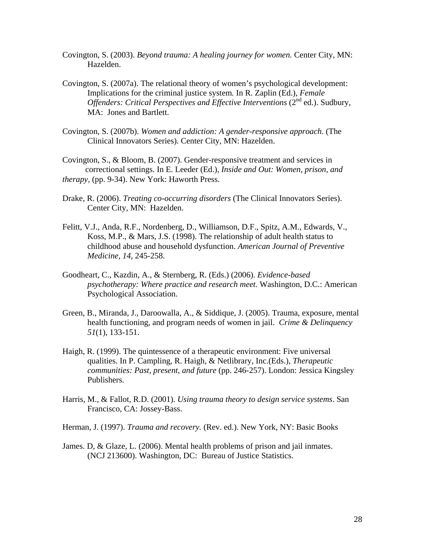- Covington, S. (2003). *Beyond trauma: A healing journey for women.* Center City, MN: Hazelden.
- Covington, S. (2007a). The relational theory of women's psychological development: Implications for the criminal justice system*.* In R. Zaplin (Ed.), *Female Offenders: Critical Perspectives and Effective Interventions* (2<sup>nd</sup> ed.). Sudbury, MA: Jones and Bartlett.
- Covington, S. (2007b). *Women and addiction: A gender-responsive approach*. (The Clinical Innovators Series). Center City, MN: Hazelden.

Covington, S., & Bloom, B. (2007). Gender-responsive treatment and services in correctional settings. In E. Leeder (Ed.), *Inside and Out: Women, prison, and therapy,* (pp. 9-34). New York: Haworth Press.

- Drake, R. (2006). *Treating co-occurring disorders* (The Clinical Innovators Series). Center City, MN: Hazelden.
- Felitt, V.J., Anda, R.F., Nordenberg, D., Williamson, D.F., Spitz, A.M., Edwards, V., Koss, M.P., & Mars, J.S. (1998). The relationship of adult health status to childhood abuse and household dysfunction. *American Journal of Preventive Medicine*, *14*, 245-258.
- Goodheart, C., Kazdin, A., & Sternberg, R. (Eds.) (2006). *Evidence-based psychotherapy: Where practice and research meet.* Washington, D.C.: American Psychological Association.
- Green, B., Miranda, J., Daroowalla, A., & Siddique, J. (2005). Trauma, exposure, mental health functioning, and program needs of women in jail. *Crime & Delinquency 51*(1), 133-151.
- Haigh, R. (1999). The quintessence of a therapeutic environment: Five universal qualities. In P. Campling, R. Haigh, & Netlibrary, Inc.(Eds.), *Therapeutic communities: Past, present, and future* (pp. 246-257). London: Jessica Kingsley Publishers.
- Harris, M., & Fallot, R.D. (2001). *Using trauma theory to design service systems*. San Francisco, CA: Jossey-Bass.
- Herman, J. (1997). *Trauma and recovery.* (Rev. ed.). New York, NY: Basic Books
- James. D, & Glaze, L. (2006). Mental health problems of prison and jail inmates. (NCJ 213600). Washington, DC: Bureau of Justice Statistics.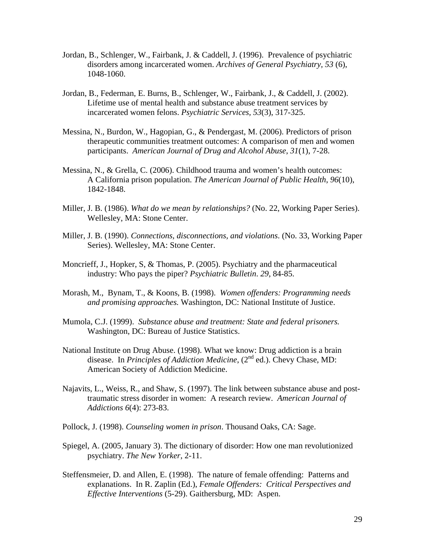- Jordan, B., Schlenger, W., Fairbank, J. & Caddell, J. (1996). Prevalence of psychiatric disorders among incarcerated women. *Archives of General Psychiatry, 53* (6), 1048-1060.
- Jordan, B., Federman, E. Burns, B., Schlenger, W., Fairbank, J., & Caddell, J. (2002). Lifetime use of mental health and substance abuse treatment services by incarcerated women felons. *Psychiatric Services, 53*(3), 317-325.
- Messina, N., Burdon, W., Hagopian, G., & Pendergast, M. (2006). Predictors of prison therapeutic communities treatment outcomes: A comparison of men and women participants. *American Journal of Drug and Alcohol Abuse*, *31*(1), 7-28.
- Messina, N., & Grella, C. (2006). Childhood trauma and women's health outcomes: A California prison population. *The American Journal of Public Health*, *96*(10), 1842-1848.
- Miller, J. B. (1986). *What do we mean by relationships?* (No. 22, Working Paper Series). Wellesley, MA: Stone Center.
- Miller, J. B. (1990). *Connections, disconnections, and violations*. (No. 33, Working Paper Series). Wellesley, MA: Stone Center.
- Moncrieff, J., Hopker, S, & Thomas, P. (2005). Psychiatry and the pharmaceutical industry: Who pays the piper? *Psychiatric Bulletin*. *29*, 84-85.
- Morash, M., Bynam, T., & Koons, B. (1998). *Women offenders: Programming needs and promising approaches.* Washington, DC: National Institute of Justice.
- Mumola, C.J. (1999). *Substance abuse and treatment: State and federal prisoners.*  Washington, DC: Bureau of Justice Statistics.
- National Institute on Drug Abuse. (1998). What we know: Drug addiction is a brain disease. In *Principles of Addiction Medicine*, (2<sup>nd</sup> ed.). Chevy Chase, MD: American Society of Addiction Medicine.
- Najavits, L., Weiss, R., and Shaw, S. (1997). The link between substance abuse and posttraumatic stress disorder in women: A research review. *American Journal of Addictions 6*(4): 273-83.
- Pollock, J. (1998). *Counseling women in prison*. Thousand Oaks, CA: Sage.
- Spiegel, A. (2005, January 3). The dictionary of disorder: How one man revolutionized psychiatry. *The New Yorker*, 2-11.
- Steffensmeier, D. and Allen, E. (1998). The nature of female offending: Patterns and explanations. In R. Zaplin (Ed.), *Female Offenders: Critical Perspectives and Effective Interventions* (5-29). Gaithersburg, MD: Aspen.